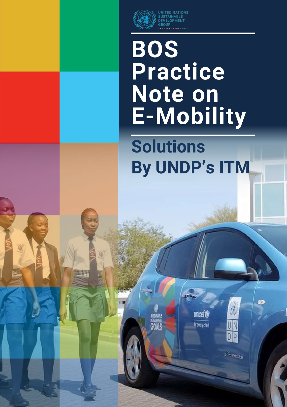

1

l

I

**ITED NATIONS** SUSTAINABLE GROUP

# **BOS Practice Note on E-Mobility**

**Solutions By UNDP's ITM**



**unicef®** 

for early child

.<br>Goals

z menton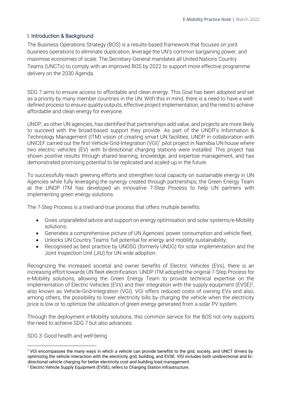## I. Introduction & Background

The Business Operations Strategy (BOS) is a results-based framework that focuses on joint business operations to eliminate duplication, leverage the UN's common bargaining power, and maximise economies of scale. The Secretary-General mandates all United Nations Country Teams (UNCTs) to comply with an improved BOS by 2022 to support more effective programme delivery on the 2030 Agenda.

SDG 7 aims to ensure access to affordable and clean energy. This Goal has been adopted and set as a priority by many member countries in the UN. With this in mind, there is a need to have a welldefined process to ensure quality outputs, effective project implementation, and the need to achieve affordable and clean energy for everyone.

UNDP, as other UN agencies, has identified that partnerships add value, and projects are more likely to succeed with the broad-based support they provide. As part of the UNDP's Information & Technology Management (ITM) vision of creating smart UN facilities, UNDP in collaboration with UNICEF carried out the first Vehicle-Grid-Integration (VGI)<sup>1</sup> pilot project in Namibia UN house where two electric vehicles (EV) with bi-directional charging stations were installed. This project has shown positive results through shared learning, knowledge, and expertise management, and has demonstrated promising potential to be replicated and scaled-up in the future.

To successfully reach greening efforts and strengthen local capacity on sustainable energy in UN Agencies while fully leveraging the synergy created through partnerships, the Green Energy Team at the UNDP ITM has developed an innovative 7-Step Process to help UN partners with implementing green energy solutions.

The 7-Step Process is a tried-and-true process that offers multiple benefits:

- Gives unparalleled advice and support on energy optimisation and solar systems/e-Mobility solutions;
- Generates a comprehensive picture of UN Agencies' power consumption and vehicle fleet;
- Unlocks UN Country Teams' full potential for energy and mobility sustainability;
- Recognised as best practice by UNDSG (formerly UNDG) for solar implementation and the Joint Inspection Unit (JIU) for UN-wide adoption.

Recognizing the increased societal and owner benefits of Electric Vehicles (EVs), there is an increasing effort towards UN fleet electrification. UNDP ITM adopted the original 7-Step Process for e-Mobility solutions, allowing the Green Energy Team to provide technical expertise on the implementation of Electric Vehicles (EVs) and their integration with the supply equipment (EVSE)<sup>2</sup>, also known as Vehicle-Grid-Integration (VGI). VGI offers reduced costs of owning EVs and also, among others, the possibility to lower electricity bills by charging the vehicle when the electricity price is low or to optimize the utilization of green energy generated from a solar PV system.

Through the deployment e-Mobility solutions, this common service for the BOS not only supports the need to achieve SDG 7 but also advances:

SDG 3: Good health and well-being

 $1$  VGI encompasses the many ways in which a vehicle can provide benefits to the grid, society, and UNCT drivers by optimizing the vehicle interaction with the electricity grid, building, and EVSE. VGI includes both unidirectional and bidirectional vehicle charging for better electricity cost and building load management.

 $2$  Electric Vehicle Supply Equipment (EVSE), refers to Charging Station Infrastructure.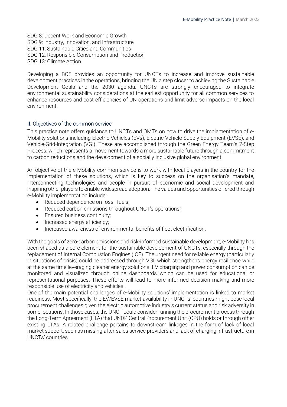SDG 8: Decent Work and Economic Growth SDG 9: Industry, Innovation, and Infrastructure SDG 11: Sustainable Cities and Communities SDG 12: Responsible Consumption and Production SDG 13: Climate Action

Developing a BOS provides an opportunity for UNCTs to increase and improve sustainable development practices in the operations, bringing the UN a step closer to achieving the Sustainable Development Goals and the 2030 agenda. UNCTs are strongly encouraged to integrate environmental sustainability considerations at the earliest opportunity for all common services to enhance resources and cost efficiencies of UN operations and limit adverse impacts on the local environment.

### II. Objectives of the common service

This practice note offers guidance to UNCTs and OMTs on how to drive the implementation of e-Mobility solutions including Electric Vehicles (EVs), Electric Vehicle Supply Equipment (EVSE), and Vehicle-Grid-Integration (VGI). These are accomplished through the Green Energy Team's 7-Step Process, which represents a movement towards a more sustainable future through a commitment to carbon reductions and the development of a socially inclusive global environment.

An objective of the e-Mobility common service is to work with local players in the country for the implementation of these solutions, which is key to success on the organisation's mandate, interconnecting technologies and people in pursuit of economic and social development and inspiring other players to enable widespread adoption. The values and opportunities offered through e-Mobility implementation include:

- Reduced dependence on fossil fuels;
- Reduced carbon emissions throughout UNCT's operations;
- Ensured business continuity;
- Increased energy efficiency;
- Increased awareness of environmental benefits of fleet electrification.

With the goals of zero-carbon emissions and risk-informed sustainable development, e-Mobility has been shaped as a core element for the sustainable development of UNCTs, especially through the replacement of Internal Combustion Engines (ICE). The urgent need for reliable energy (particularly in situations of crisis) could be addressed through VGI, which strengthens energy resilience while at the same time leveraging cleaner energy solutions. EV charging and power consumption can be monitored and visualized through online dashboards which can be used for educational or representational purposes. These efforts will lead to more informed decision making and more responsible use of electricity and vehicles.

One of the main potential challenges of e-Mobility solutions' implementation is linked to market readiness. Most specifically, the EV/EVSE market availability in UNCTs' countries might pose local procurement challenges given the electric automotive industry's current status and risk adversity in some locations. In those cases, the UNCT could consider running the procurement process through the Long-Term Agreement (LTA) that UNDP Central Procurement Unit (CPU) holds or through other existing LTAs. A related challenge pertains to downstream linkages in the form of lack of local market support, such as missing after-sales service providers and lack of charging infrastructure in UNCTs' countries.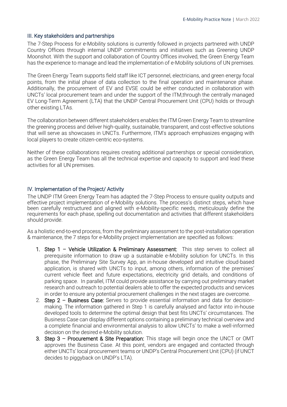#### III. Key stakeholders and partnerships

The 7-Step Process for e-Mobility solutions is currently followed in projects partnered with UNDP Country Offices through internal UNDP commitments and initiatives such as Greening UNDP Moonshot. With the support and collaboration of Country Offices involved, the Green Energy Team has the experience to manage and lead the implementation of e-Mobility solutions of UN premises.

The Green Energy Team supports field staff like ICT personnel, electricians, and green energy focal points, from the initial phase of data collection to the final operation and maintenance phase. Additionally, the procurement of EV and EVSE could be either conducted in collaboration with UNCTs' local procurement team and under the support of the ITM,through the centrally managed EV Long-Term Agreement (LTA) that the UNDP Central Procurement Unit (CPU) holds or through other existing LTAs.

The collaboration between different stakeholders enables the ITM Green Energy Team to streamline the greening process and deliver high-quality, sustainable, transparent, and cost-effective solutions that will serve as showcases in UNCTs. Furthermore, ITM's approach emphasizes engaging with local players to create citizen-centric eco-systems.

Neither of these collaborations requires creating additional partnerships or special consideration, as the Green Energy Team has all the technical expertise and capacity to support and lead these activities for all UN premises.

#### IV. Implementation of the Project/ Activity

The UNDP ITM Green Energy Team has adapted the 7-Step Process to ensure quality outputs and effective project implementation of e-Mobility solutions. The process's distinct steps, which have been carefully restructured and aligned with e-Mobility-specific needs, meticulously define the requirements for each phase, spelling out documentation and activities that different stakeholders should provide.

As a holistic end-to-end process, from the preliminary assessment to the post-installation operation & maintenance, the 7 steps for e-Mobility project implementation are specified as follows:

- 1. Step 1 Vehicle Utilization & Preliminary Assessment: This step serves to collect all prerequisite information to draw up a sustainable e-Mobility solution for UNCTs. In this phase, the Preliminary Site Survey App, an in-house developed and intuitive cloud-based application, is shared with UNCTs to input, among others, information of the premises' current vehicle fleet and future expectations, electricity grid details, and conditions of parking space. In parallel, ITM could provide assistance by carrying out preliminary market research and outreach to potential dealers able to offer the expected products and services in order to ensure any potential procurement challenges in the next stages are overcome.
- 2. Step  $2 -$  Business Case: Serves to provide essential information and data for decisionmaking. The information gathered in Step 1 is carefully analysed and factor into in-house developed tools to determine the optimal design that best fits UNCTs' circumstances. The Business Case can display different options containing a preliminary technical overview and a complete financial and environmental analysis to allow UNCTs' to make a well-informed decision on the desired e-Mobility solution.
- 3. Step 3 Procurement & Site Preparation: This stage will begin once the UNCT or OMT approves the Business Case. At this point, vendors are engaged and contacted through either UNCTs' local procurement teams or UNDP's Central Procurement Unit (CPU) (if UNCT decides to piggyback on UNDP's LTA).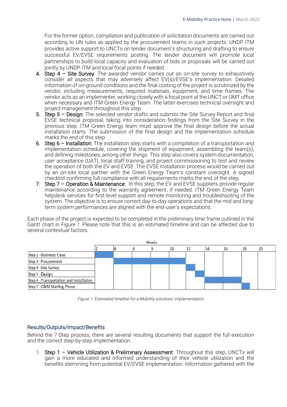For the former option, compilation and publication of solicitation documents are carried out according to UN rules as applied by the procurement teams in such projects. UNDP ITM provides active support to UNCTs on tender document's structuring and drafting to ensure successful EV/EVSE requirements posting. The tender document will promote local partnerships to build local capacity and evaluation of bids or proposals will be carried out jointly by UNDP ITM and local focal points if needed.

- 4. Step 4 Site Survey: The awarded vendor carries out an on-site survey to exhaustively consider all aspects that may adversely affect EV(s)/EVSE's implementation. Detailed information of on-ground conditions and the final costing of the project is scrutinized by the vendor, including measurements, required materials, equipment, and time frames. The vendor acts as an implementer, working closely with a focal point at the UNCT or OMT office when necessary and ITM Green Energy Team. The latter exercises technical oversight and project management throughout this step.
- 5. Step  $5 -$  Design: The selected vendor drafts and submits the Site Survey Report and final EVSE technical proposal, taking into consideration findings from the Site Survey in the previous step. ITM Green Energy team must approve the final design before the actual installation starts. The submission of the final design and the implementation schedule marks the end of this step.
- 6. Step 6 Installation: The installation step starts with a compilation of a transportation and implementation schedule, covering the shipment of equipment, assembling the team(s), and defining milestones, among other things. This step also covers system documentation, user acceptance (UAT), local staff training, and project commissioning to test and review the operation of both the EV and EVSE. The EVSE Installation process would be carried out by an on-site local partner with the Green Energy Team's constant oversight. A signed checklist confirming full compliance with all requirements marks the end of the step.
- 7. Step 7 Operation & Maintenance: In this step, the EV and EVSE suppliers provide regular maintenance according to the warranty agreement, if needed. ITM Green Energy Team helpdesk services for first-level support and remote monitoring and troubleshooting of the system. The objective is to ensure correct day-to-day operations and that the mid and longterm system performances are aligned with the end-user's expectations.

Each phase of the project is expected to be completed in the preliminary time frame outlined in the Gantt chart in *Figure 1.* Please note that this is an estimated timeline and can be affected due to several contextual factors.



*Figure 1: Estimated timeline for e-Mobility solutions' implementation*

## Results/Outputs/Impact/Benefits

Behind the 7-Step process, there are several resulting documents that support the full execution and the correct step-by-step implementation.

1. Step 1 – Vehicle Utilization & Preliminary Assessment: Throughout this step, UNCTs will gain a more educated and informed understanding of their vehicle utilization and the benefits stemming from potential EV/EVSE implementation. Information gathered with the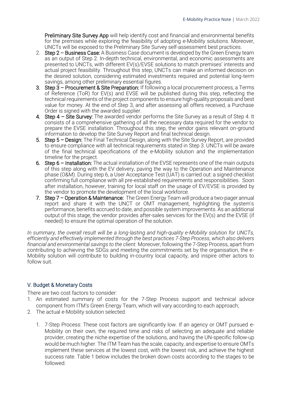Preliminary Site Survey App will help identify cost and financial and environmental benefits for the premises while exploring the feasibility of adopting e-Mobility solutions. Moreover, UNCTs will be exposed to the Preliminary Site Survey self-assessment best practices.

- 2. Step 2 Business Case: A Business Case document is developed by the Green Energy team as an output of Step 2. In-depth technical, environmental, and economic assessments are presented to UNCTs, with different EV(s)/EVSE solutions to match premises' interests and actual project feasibility. Throughout this step, UNCTs can make an informed decision on the desired solution, considering estimated investments required and potential long-term savings, among other preliminary essential figures.
- 3. Step 3 Procurement & Site Preparation: If following a local procurement process, a Terms of Reference (ToR) for EV(s) and EVSE will be published during this step, reflecting the technical requirements of the project components to ensure high-quality proposals and best value for money. At the end of Step 3, and after assessing all offers received, a Purchase Order is signed with the awarded supplier.
- 4. Step 4 Site Survey: The awarded vendor performs the Site Survey as a result of Step 4. It consists of a comprehensive gathering of all the necessary data required for the vendor to prepare the EVSE installation. Throughout this step, the vendor gains relevant on-ground information to develop the Site Survey Report and final technical design.
- 5. Step 5 Design: The Final Technical Design, along with the Site Survey Report, are provided to ensure compliance with all technical requirements stated in Step 3. UNCTs will be aware of the final technical specifications of the e-Mobility solution and the implementation timeline for the project.
- 6. Step 6 Installation: The actual installation of the EVSE represents one of the main outputs of this step along with the EV delivery, paving the way to the Operation and Maintenance phase (O&M). During step 6, a User Acceptance Test (UAT) is carried out: a signed checklist confirming full compliance with all pre-established requirements and responsibilities. Soon after installation, however, training for local staff on the usage of EV/EVSE is provided by the vendor to promote the development of the local workforce.
- 7. Step 7 Operation & Maintenance: The Green Energy Team will produce a two-pager annual report and share it with the UNCT or OMT management, highlighting the system's performance, benefits accrued to date, and possible system improvements. As an additional output of this stage, the vendor provides after-sales services for the EV(s) and the EVSE (if needed) to ensure the optimal operation of the solution.

*In summary, the overall result will be a long-lasting and high-quality e-Mobility solution for UNCTs, efficiently and effectively implemented through the best practices 7-Step Process, which also delivers financial and environmental savings to the client.* Moreover, following the 7-Step Process, apart from contributing to achieving the SDGs and meeting the commitments set by the organisation, the e-Mobility solution will contribute to building in-country local capacity, and inspire other actors to follow suit.

## V. Budget & Monetary Costs

There are two cost factors to consider:

- 1. An estimated summary of costs for the 7-Step Process support and technical advice component from ITM's Green Energy Team, which will vary according to each approach;
- 2. The actual e-Mobility solution selected.
	- 1. 7-Step Process: These cost factors are significantly low. If an agency or OMT pursued e-Mobility on their own, the required time and risks of selecting an adequate and reliable provider, creating the niche expertise of the solutions, and having the UN-specific follow-up would be much higher. The ITM Team has the scale, capacity, and expertise to ensure OMTs implement these services at the lowest cost, with the lowest risk, and achieve the highest success rate. Table 1 below includes the broken down costs according to the stages to be followed.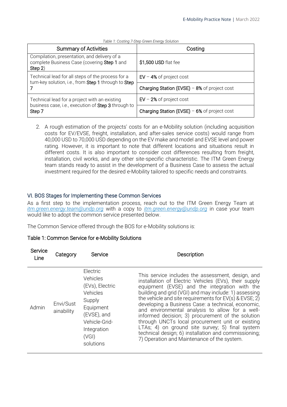| <b>Summary of Activities</b>                                                                                   | Costing                                        |
|----------------------------------------------------------------------------------------------------------------|------------------------------------------------|
| Compilation, presentation, and delivery of a<br>complete Business Case (covering Step 1 and<br>Step 2)         | \$1,500 USD flat fee                           |
| Technical lead for all steps of the process for a<br>turn-key solution, i.e., from Step 1 through to Step      | $EV - 4%$ of project cost                      |
|                                                                                                                | Charging Station (EVSE) $-8\%$ of project cost |
| Technical lead for a project with an existing<br>business case, i.e., execution of Step 3 through to<br>Step 7 | $EV - 2\%$ of project cost                     |
|                                                                                                                | Charging Station (EVSE) $-6\%$ of project cost |

#### *Table 1: Costing 7-Step Green Energy Solution*

2. A rough estimation of the projects' costs for an e-Mobility solution (including acquisition costs for EV/EVSE, freight, installation, and after-sales service costs) would range from 40,000 USD to 70,000 USD depending on the EV make and model and EVSE level and power rating. However, it is important to note that different locations and situations result in different costs. It is also important to consider cost differences resulting from freight, installation, civil works, and any other site-specific characteristic. The ITM Green Energy team stands ready to assist in the development of a Business Case to assess the actual investment required for the desired e-Mobility tailored to specific needs and constraints.

#### VI. BOS Stages for Implementing these Common Services

As a first step to the implementation process, reach out to the ITM Green Energy Team at *[itm.green.energy.team@undp.org](mailto:helpdesk.green.energy@undp.org)* with a copy to *[itm.green.energy@undp.org](mailto:itm.green.energy@undp.org)* in case your team would like to adopt the common service presented below.

The Common Service offered through the BOS for e-Mobility solutions is:

#### Table 1: Common Service for e-Mobility Solutions

| Service<br>Line | Category                | Service                                                                                                                                         | Description                                                                                                                                                                                                                                                                                                                                                                                                                                                                                                                                                                                                                                                     |
|-----------------|-------------------------|-------------------------------------------------------------------------------------------------------------------------------------------------|-----------------------------------------------------------------------------------------------------------------------------------------------------------------------------------------------------------------------------------------------------------------------------------------------------------------------------------------------------------------------------------------------------------------------------------------------------------------------------------------------------------------------------------------------------------------------------------------------------------------------------------------------------------------|
| Admin           | Envi/Sust<br>ainability | Electric<br>Vehicles<br>(EVs), Electric<br>Vehicles<br>Supply<br>Equipment<br>(EVSE), and<br>Vehicle-Grid-<br>Integration<br>(VGI)<br>solutions | This service includes the assessment, design, and<br>installation of Electric Vehicles (EVs), their supply<br>equipment (EVSE) and the integration with the<br>building and grid (VGI) and may include: 1) assessing<br>the vehicle and site requirements for $EV(s)$ & $EVSE$ ; 2)<br>developing a Business Case: a technical, economic,<br>and environmental analysis to allow for a well-<br>informed decision; 3) procurement of the solution<br>through UNCTs local procurement unit or existing<br>LTAs; 4) on ground site survey; 5) final system<br>technical design; 6) installation and commissioning;<br>7) Operation and Maintenance of the system. |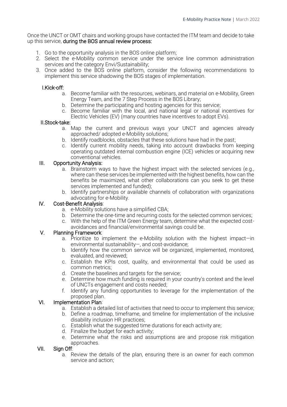Once the UNCT or OMT chairs and working groups have contacted the ITM team and decide to take up this service, during the BOS annual review process:

- 1. Go to the opportunity analysis in the BOS online platform;
- 2. Select the e-Mobility common service under the service line common administration services and the category Envi/Sustainability;
- 3. Once added to the BOS online platform, consider the following recommendations to implement this service shadowing the BOS stages of implementation.

### I.Kick-off:

- a. Become familiar with the resources, webinars, and material on e-Mobility, Green Energy Team, and the 7 Step Process in the BOS Library;
- b. Determine the participating and hosting agencies for this service;
- c. Become familiar with the local, and national legal or national incentives for Electric Vehicles (EV) (many countries have incentives to adopt EVs).

#### II.Stock-take:

- a. Map the current and previous ways your UNCT and agencies already approached/ adopted e-Mobility solutions;
- b. Identify roadblocks, obstacles that these solutions have had in the past;
- c. Identify current mobility needs, taking into account drawbacks from keeping operating outdated internal combustion engine (ICE) vehicles or acquiring new conventional vehicles.

#### III. Opportunity Analysis:

- a. Brainstorm ways to have the highest impact with the selected services (e.g., where can these services be implemented with the highest benefits, how can the benefits be maximized, what other collaborations can you seek to get these services implemented and funded);
- b. Identify partnerships or available channels of collaboration with organizations advocating for e-Mobility.

#### IV. Cost-Benefit Analysis:

- a. e-Mobility solutions have a simplified CBA;
- b. Determine the one-time and recurring costs for the selected common services;
- c. With the help of the ITM Green Energy team, determine what the expected costavoidances and financial/environmental savings could be.

#### V. Planning Framework:

- a. Prioritize to implement the e-Mobility solution with the highest impact—in environmental sustainability—, and cost-avoidance;
- b. Identify how the common service will be organized, implemented, monitored, evaluated, and reviewed;
- c. Establish the KPIs cost, quality, and environmental that could be used as common metrics;
- d. Create the baselines and targets for the service;
- e. Determine how much funding is required in your country's context and the level of UNCTs engagement and costs needed;
- f. Identify any funding opportunities to leverage for the implementation of the proposed plan.

#### VI. Implementation Plan:

- a. Establish a detailed list of activities that need to occur to implement this service;
- b. Define a roadmap, timeframe, and timeline for implementation of the inclusive disability inclusion HR practices;
- c. Establish what the suggested time durations for each activity are;
- d. Finalize the budget for each activity;
- e. Determine what the risks and assumptions are and propose risk mitigation approaches.

#### VII. Sign Off:

a. Review the details of the plan, ensuring there is an owner for each common service and action;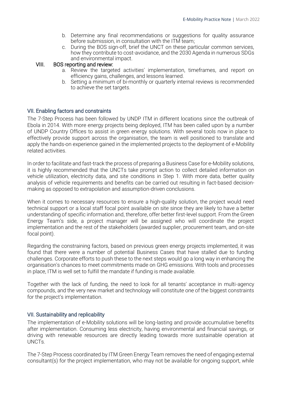- b. Determine any final recommendations or suggestions for quality assurance before submission, in consultation with the ITM team;
- c. During the BOS sign-off, brief the UNCT on these particular common services, how they contribute to cost-avoidance, and the 2030 Agenda in numerous SDGs and environmental impact.

#### VIII. BOS reporting and review:

- a. Review the targeted activities' implementation, timeframes, and report on efficiency gains, challenges, and lessons learned.
- b. Setting a minimum of bi-monthly or quarterly internal reviews is recommended to achieve the set targets.

#### VII. Enabling factors and constraints

The 7-Step Process has been followed by UNDP ITM in different locations since the outbreak of Ebola in 2014. With more energy projects being deployed, ITM has been called upon by a number of UNDP Country Offices to assist in green energy solutions. With several tools now in place to effectively provide support across the organisation, the team is well positioned to translate and apply the hands-on experience gained in the implemented projects to the deployment of e-Mobility related activities.

In order to facilitate and fast-track the process of preparing a Business Case for e-Mobility solutions, it is highly recommended that the UNCTs take prompt action to collect detailed information on vehicle utilization, electricity data, and site conditions in Step 1. With more data, better quality analysis of vehicle requirements and benefits can be carried out resulting in fact-based decisionmaking as opposed to extrapolation and assumption-driven conclusions.

When it comes to necessary resources to ensure a high-quality solution, the project would need technical support or a local staff focal point available on site since they are likely to have a better understanding of specific information and, therefore, offer better first-level support. From the Green Energy Team's side, a project manager will be assigned who will coordinate the project implementation and the rest of the stakeholders (awarded supplier, procurement team, and on-site focal point).

Regarding the constraining factors, based on previous green energy projects implemented, it was found that there were a number of potential Business Cases that have stalled due to funding challenges. Corporate efforts to push these to the next steps would go a long way in enhancing the organisation's chances to meet commitments made on GHG emissions. With tools and processes in place, ITM is well set to fulfill the mandate if funding is made available.

Together with the lack of funding, the need to look for all tenants' acceptance in multi-agency compounds, and the very new market and technology will constitute one of the biggest constraints for the project's implementation.

#### VII. Sustainability and replicability

The implementation of e-Mobility solutions will be long-lasting and provide accumulative benefits after implementation. Consuming less electricity, having environmental and financial savings, or driving with renewable resources are directly leading towards more sustainable operation at UNCTs.

The 7-Step Process coordinated by ITM Green Energy Team removes the need of engaging external consultant(s) for the project implementation, who may not be available for ongoing support, while